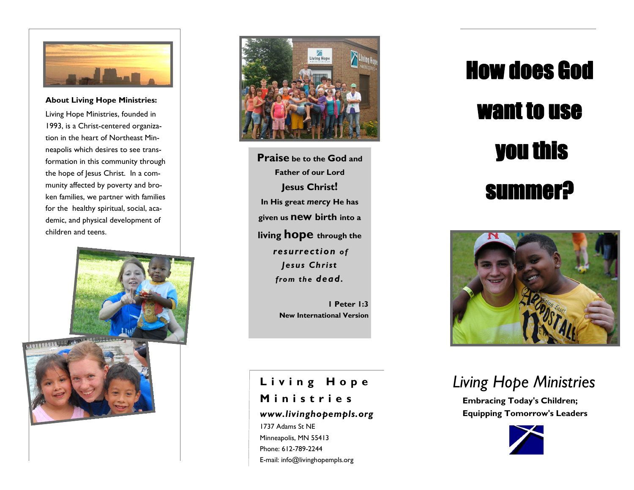

**About Living Hope Ministries:**

Living Hope Ministries, founded in 1993, is a Christ-centered organization in the heart of Northeast Minneapolis which desires to see transformation in this community through the hope of Jesus Christ. In a community affected by poverty and broken families, we partner with families for the healthy spiritual, social, academic, and physical development of children and teens.





**Praise be to the God and Father of our Lord Jesus Christ! In His great** *mercy* **He has given us new birth into a living hope through the** *resurrection of Jesus Christ from the dead.*

> **1 Peter 1:3 New International Version**

### **L i v i n g H o p e M i n i s t r i e s** *www.livinghopempls.org*

1737 Adams St NE Minneapolis, MN 55413 Phone: 612-789-2244 E-mail: info@livinghopempls.org

# How does God want to use you this summer?



## *Living Hope Ministries*

**Embracing Today's Children; Equipping Tomorrow's Leaders**